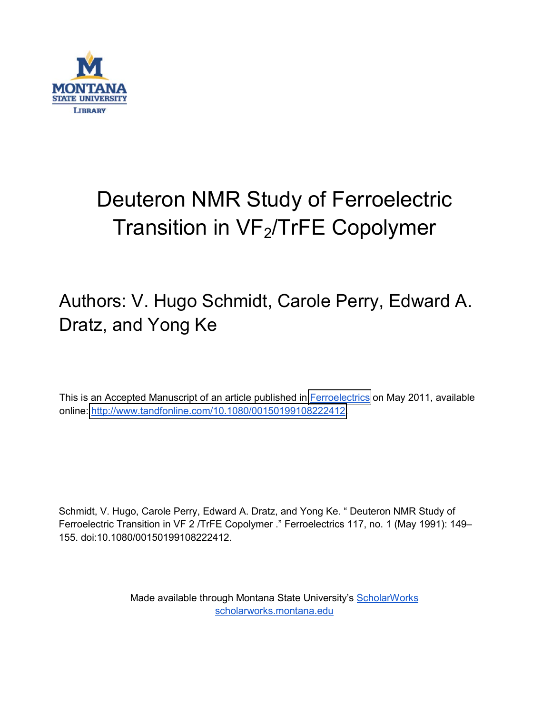

## Deuteron NMR Study of Ferroelectric Transition in  $VF<sub>2</sub>/TrFE$  Copolymer

## Authors: V. Hugo Schmidt, Carole Perry, Edward A. Dratz, and Yong Ke

This is an Accepted Manuscript of an article published in [Ferroelectrics](http://www.tandfonline.com/loi/gfer20#.VxUwCfkrJD8) on May 2011, available online: [http://www.tandfonline.com/10.1080/00150199108222412.](http://dx.doi.org/10.1080/00150199108222412)

Schmidt, V. Hugo, Carole Perry, Edward A. Dratz, and Yong Ke. " Deuteron NMR Study of Ferroelectric Transition in VF 2 /TrFE Copolymer ." Ferroelectrics 117, no. 1 (May 1991): 149-155. doi:10.1080/00150199108222412.

> Made available through Montana State University's [ScholarWorks](http://scholarworks.montana.edu/) [scholarworks.montana.edu](http://scholarworks.montana.edu/)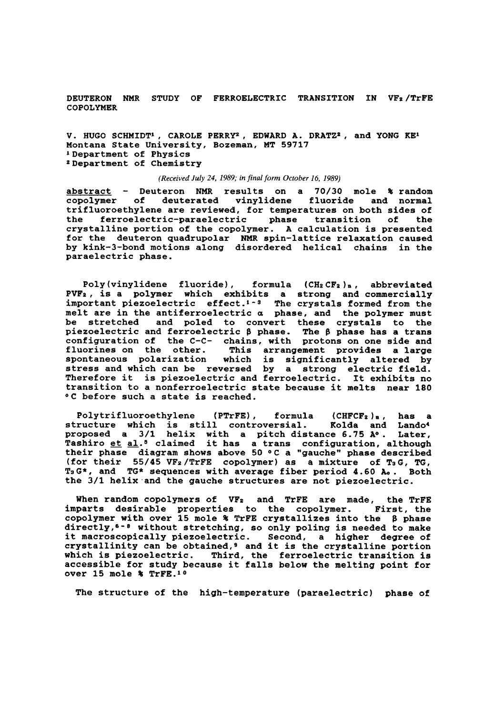**DEUTERON NMR STUDY OF FERROELECTRIC TRANSITION IN VFz/TrFE COPOLYMER** 

**V. HUGO SCHMIDT', CAROLE PERRYZ, EDWARD A. DRATZ', and YONG KE1 Montana State University, Bozeman, MT 59717 'Department of Physics ZDepartment of Chemistry** 

*(Received July 24, 1989; in final form October 16, 1989)* 

abstract - Deuteron NMR results on a 70/30 mole % random **copolymer of deuterated vinylidene fluoride and normal trifluoroethylene are reviewed, for temperatures on both sides of**  ferroelectric-paraelectric phase transition of **crystalline portion of the copolymer. A calculation is presented for the deuteron quadrupolar NMR spin-lattice relaxation caused**  by kink-3-bond motions along disordered helical chains in the **paraelectric phase.** 

**Poly (vinylidene fluoride)** , **formula (CHZ CFZ )B** , **abbreviated**  PVF<sub>2</sub>, is a polymer which exhibits a strong and commercially **important piezoelectric effect.'-3 The crystals formed from the melt are in the antiferroelectric a phase, and the polymer must be stretched and poled to convert these crystals to the piezoelectric and ferroelectric** \$ **phase. The** \$ **phase has a trans configuration of the C-C- chains, with protons on one side and fluorines on the other. This arrangement provides a large spontaneous polarization which is significantly altered by stress and which can be reversed by a strong electric field. Therefore it is piezoelectric and ferroelectric. It exhibits no transition to a nonferroelectric state because it melts near 180 OC before such a state is reached.** 

Polytrifluoroethylene (PTrFE), formula (CHFCF<sub>2</sub>)<sub>n,</sub> has a **structure which is still controversial. Kolda and Land04 proposed a 3/1 helix with a pitch distance 6.75 Ao. Later, Tashiro et a1.O claimed it has a trans configuration, although**  their phase diagram shows above 50 °C a "gauche" phase described **(for their 55/45 VFz/TrFE copolymer) as a mixture of T3G, TG, TaG\*, and TG\* sequences with average fiber period 4.60 Ao. Both the 3/1 helix.and the gauche structures are not piezoelectric.** 

When random copolymers of VF<sub>2</sub> and TrFE are made, the TrFE **imparts desirable properties to the copolymer. First, the copolymer with over 15 mole Ri TrFE crystallizes into the** \$ **phase directly,e-a without stretching, so only poling is needed to make it macroscopically piezoelectric. Second, a higher degree of crystallinity can be obtained,9 and it is the crystalline portion which is piezoelectric. Third, the ferroelectric transition is accessible for study because it falls below the melting point for over 15 mole Ri TrFE.10** 

**The structure of the high-temperature (paraelectric) phase of**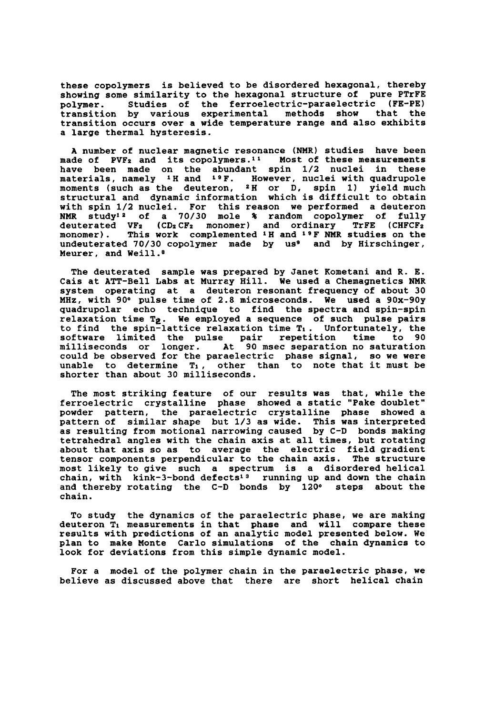**these copolymers is believed to be disordered hexagonal, thereby showing some similarity to the hexagonal structure of pure PTrFE polymer** . **Studies of the ferroelectric-paraelectric (FE-PE) transition by various experimental methods show that the transition occurs over a wide temperature range and also exhibits a large thermal hysteresis.** 

**A number of nuclear magnetic resonance (NMR) studies have been made of PVFZ and its copolymers." Most of these measurements have been made on the abundant spin l/2 nuclei in these materials, namely 1H and 19F. However, nuclei with quadrupole moments (such as the deuteron, 2H or D, spin 1) yield much structural and dynamic information which is difficult to obtain with spin 1/2 nuclei. For this reason we performed a deuteron NMR study12 of a 70/30 mole** % **random copolymer of fully deuterated VFZ (CDZ CFz monomer) and ordinary TrFE (CHFCFz monomer). This work complemented 1H and 19F NMR studies on the**  undeuterated 70/30 copolymer made by us<sup>9</sup> and by Hirschinger, **Meurer, and Weill.8** 

**The deuterated sample was prepared by Janet Kometani and R. E. Cais at ATT-Bell Labs at Murray Hill. We used a Chemagnetics NMR system operating at a deuteron resonant frequency of about 30 MHz, with 90° pulse time of 2.8 microseconds. We used a 90x-9Oy quadrupolar echo technique to find the spectra and spin-spin relaxation time Te. We employed a sequence of such pulse pairs**  to find the spin-lattice relaxation time T<sub>1</sub>. Unfortunately, the **software limited the pulse pair repetition time to 90 milliseconds or longer. At 90 msec separation no saturation could be observed for the paraelectric phase signal, so we were unable to determine TI, other than to note that it must be shorter than about 30 milliseconds.** 

**The most striking feature of our results was that, while the ferroelectric crystalline phase showed a static "Pake doublet" powder pattern, the paraelectric crystalline phase showed a pattern of similar shape but 1/3 as wide. This was interpreted as resulting from motional narrowing caused by C-D bonds making tetrahedral angles with the chain axis at all times, but rotating about that axis so as to average the electric field gradient tensor components perpendicular to the chain axis. The structure most likely to give such a spectrum is a disordered helical chain, with kink-3-bond defects13 running up and down the chain**  and thereby rotating the C-D bonds by 120° steps about the **chain.** 

**To study the dynamics of the paraelectric phase, we are making deuteron TI measurements in that phase and will compare these results with predictions of an analytic model presented below. We plan to make Monte Carlo simulations of the chain dynamics to look for deviations from this simple dynamic model.** 

**For a model of the polymer chain in the paraelectric phase, we believe as discussed above that there are short helical chain**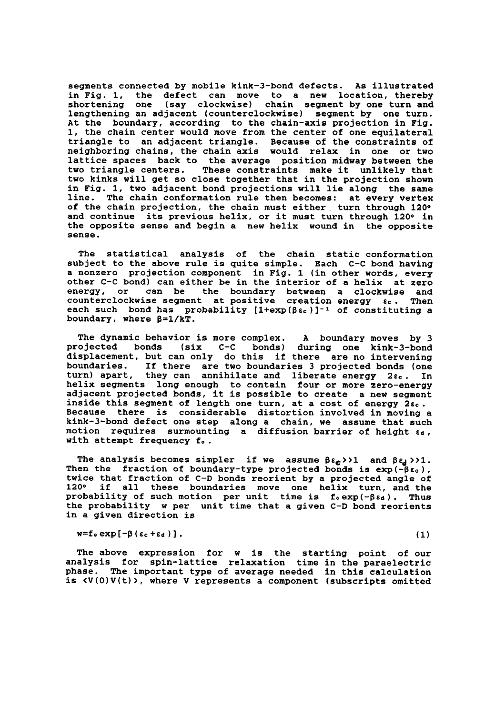**segments connected by mobile kink-3-bond defects. As illustrated in Fig. 1, the defect can move to a new location, thereby**  (say clockwise) chain segment by one turn and **lengthening an adjacent (counterclockwise) segment by one turn. At the boundary, according to the chain-axis projection in Pig. 1, the chain center would move from the center of one equilateral triangle to an adjacent triangle. Because of the constraints of neighboring chains, the chain axis would relax in one or two lattice spaces back to the average position midway between the two triangle centers. These constraints make it unlikely that two kinks will get so close together that in the projection shown in Fig. 1, two adjacent bond projections will lie along the same line. The chain conformation rule then becomes: at every vertex of the chain projection, the chain must either turn through 1200**  and continue its previous helix, or it must turn through 120° in **the opposite sense and begin a new helix wound in the opposite sense.** 

**The statistical analysis of the chain static conformation subject to the above rule is quite simple. Each C-C bond having a nonzero projection component in Fig. 1 (in other words, every other C-C bond) can either be in the interior of a helix at zero energy, or can be the boundary between a clockwise and counterclockwise segment at positive creation energy**  $\varepsilon_c$ **. Then** each such bond has probability  $[1+\exp(\beta \epsilon_{c})]^{-1}$  of constituting a **boundary, where B=l/kT.** 

**The dynamic behavior is more complex. A boundary moves by 3 projected bonds (six C-C bonds) during one kink-3-bond displacement, but can only do this if there are no intervening boundaries. If there are two boundaries 3 projected bonds (one turn) apart, they can annihilate and liberate energy** *2a~.* **In helix segments long enough to contain four or more zero-energy adjacent projected bonds, it is possible to create a new segment inside this segment of length one turn, at a cost of energy 2ec. Because there is considerable distortion involved in moving a kink-3-bond defect one step along a chain, we assume that such motion requires surmounting a diffusion barrier of height** *td.*  **with attempt frequency fo.** 

The analysis becomes simpler if we assume  $\beta \epsilon_c$ >>1 and  $\beta \epsilon_d$ >>1. **Then the fraction of boundary-type projected bonds is exp(-\$rc), twice that fraction of C-D bonds reorient by a projected angle of 1200 if all these boundaries move one helix turn, and the**  probability of such motion per unit time is  $f_0$ exp( $-\beta \epsilon_d$ ). Thus **the probability w per unit time that a given C-D bond reorients in a given direction is** 

## $w = f \circ exp[-\beta (\epsilon_c + \epsilon_d)].$  (1)

**The above expression for w is the starting point of our analysis for spin-lattice relaxation time in the paraelectric phase. The important type of average needed in this calculation is <V(O)V(t)>, where V represents a component (subscripts omitted**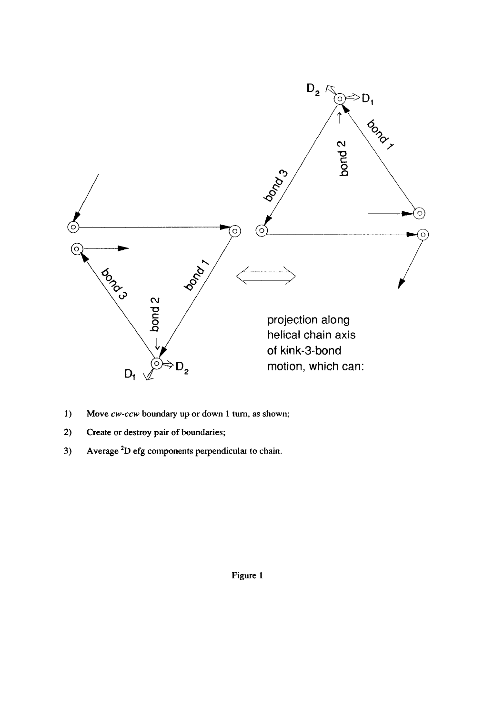

- **1) Move** *cw-ccw* **boundary up** or **down 1 turn, as shown;**
- **2) Create** or **destroy pair of boundaries;**
- **3) Average \*D efg components perpendicular to chain.**

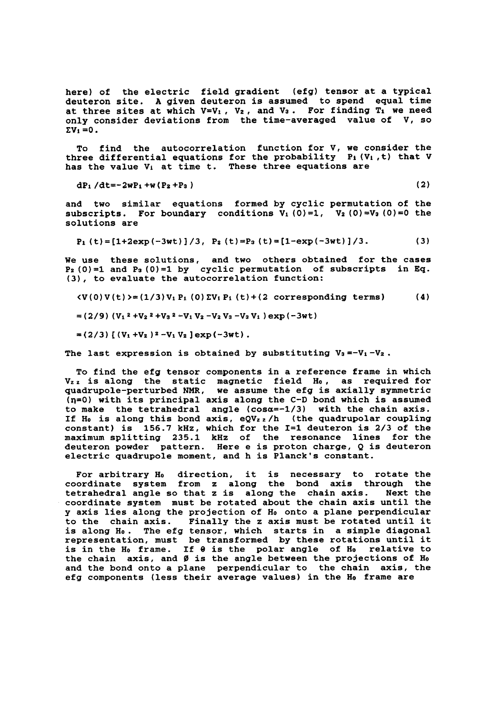**here) of the electric field gradient (efg) tensor at a typical deuteron site. A given deuteron is assumed to spend equal time**  at three sites at which  $V=V_1$ ,  $V_2$ , and  $V_3$ . For finding  $T_1$  we need **only consider deviations from the time-averaged value of V, SO**   $\sum V_i = 0$ .

**To find the autocorrelation function for V, we consider the**  three differential equations for the probability P<sub>1</sub> (V<sub>1</sub>, t) that V **has the value Vi at time t. These three equations are** 

**dPi /dt=-2wPi +W (Pz +P3 1 (2)** 

**and two similar equations formed by cyclic permutation of the**  subscripts. For boundary conditions  $V_1$  (0)=1,  $V_2$  (0)=V<sub>3</sub> (0)=0 the **solutions are** 

 $P_1 (t) = [1+2exp(-3wt)]/3$ ,  $P_2 (t) = P_3 (t) = [1-exp(-3wt)]/3.$  (3)

**We use these solutions, and two others obtained for the cases Pz(0)=1 and P3 (0)=1 by cyclic permutation of subscripts in Eq. (3), to evaluate the autocorrelation function:** 

 $\mathcal{L}(V(0)V(t))=(1/3)V_1P_1(0)\Sigma V_1P_1(t)+(2)\text{ corresponding terms}$  (4)

 $=(2/9)$   $(V_1^2 + V_2^2 + V_3^2 - V_1 V_2 - V_2 V_3 - V_3 V_1)$  exp (-3wt)

 $=(2/3)$  [  $(V_1+V_2)^2-V_1V_2$  ] exp(-3wt).

**The last expression is obtained by substituting V3=-Vi-Vz.** 

**To find the efg tensor components in a reference frame in which Vzr is along the static magnetic field Ho, as required for quadrupole-perturbed NMR, we assume the efg is axially symmetric (q=O) with its principal axis along the C-D bond which is assumed to make the tetrahedral angle (cosa=-1/3) with the chain axis.**  If H<sub>0</sub> is along this bond axis, eQVzz/h (the quadrupolar coupling **constant) is 156.7 kHz, which for the 1=1 deuteron is 2/3 of the maximum splitting 235.1 kHz of the resonance lines for the deuteron powder pattern. Here e is proton charge, Q is deuteron electric quadrupole moment, and h is Planck's constant.** 

For arbitrary H<sub>0</sub> direction, it is necessary to rotate the **coordinate system from** *z* **along the bond axis through the**  tetrahedral angle so that *z* is along the chain axis. **coordinate system must be rotated about the chain axis until the y** axis lies along the projection of H<sub>0</sub> onto a plane perpendicular **to the chain axis. Finally the** *z* **axis must be rotated until it is along Ho. The efg tensor, which starts in a simple diagonal representation, must be transformed by these rotations until it**  is in the H<sub>0</sub> frame. If  $\theta$  is the polar angle of H<sub>0</sub> relative to **the chain axis, and** *0* **is the angle between the projections of Ho and the bond onto a plane perpendicular to the chain axis, the**  efg components (less their average values) in the H<sub>0</sub> frame are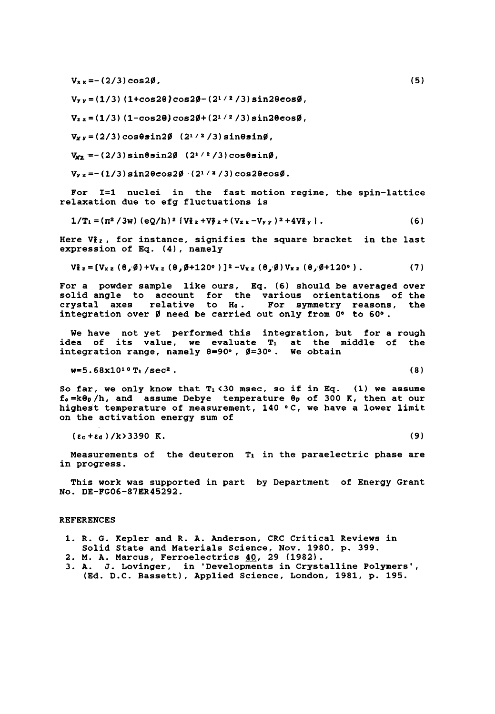$V_{xx} = -(2/3) \cos 2\theta$ .

 $V_{yy} = (1/3) (1 + \cos 2\theta) \cos 2\phi - (2^{1/2} / 3) \sin 2\theta \cos \phi$ ,

 $V_{z}$   $z = (1/3)$   $(1-\cos 2\theta) \cos 2\theta + (2^{1/2}/3) \sin 2\theta \cos \theta$ ,

**Vw** = **(2/3) cosesin20 (21** *1* **2 /3) sin0sin0,** 

 $V_{x2} = -(2/3) \sin \theta \sin 2\theta$   $(2^{1/2}/3) \cos \theta \sin \theta$ ,

 $V_{yz} = -(1/3) \sin 2\theta \cos 2\beta$   $(2^{1/2}/3) \cos 2\theta \cos \beta$ .

**For 1=1 nuclei in the fast motion regime, the spin-lattice relaxation due to efg fluctuations is** 

$$
1/T_1 = (n^2 / 3w) (eQ/h)^2 [V_{12}^2 + V_{22}^2 + (V_{xx} - V_{yy})^2 + 4V_{2y}^2].
$$
 (6)

Here Viz, for instance, signifies the square bracket in the last **expression of Eq. (4), namely** 

$$
V_{x}^{2} = [V_{xz} (\theta, \emptyset) + V_{xz} (\theta, \emptyset + 120^{\circ})]^{2} - V_{xz} (\theta, \emptyset) V_{xz} (\theta, \emptyset + 120^{\circ}).
$$
 (7)

**For a powder sample like ours, Eq. (6) should be averaged over solid angle to account for the various orientations of the crystal axes relative to Ho. For symmetry reasons, the integration over 0 need be carried out only from** *00* **to** *600.* 

**We have not yet performed this integration, but for a rough idea of its value, we evaluate TI at the middle of the integration range, namely 8=90°, 0~300. We obtain** 

**w=5. 68x1010T1 /sec2** . **(8)** 

So far, we only know that  $T_1 \le 30$  msec, so if in Eq.  $(1)$  we assume **fo=kb/h, and assume Debye temperature** *00* **of 300 K, then at our**  highest temperature of measurement, 140 °C, we have a lower limit **on the activation energy sum of** 

**(Ec** *+Ed* ) **/k>3390 K. (9)** 

**Measurements of the deuteron TI in the paraelectric phase are in progress.** 

**This work was supported in part by Department of Energy Grant NO. DE-FG06-87ER45292.** 

## **REFERENCES**

- **1. R. G. Kepler and R. A. Anderson, CRC Critical Reviews in Solid State and Materials Science, Nov. 1980, p. 399.**
- **2. M. A. Marcus, Ferroelectrics 40, 29 (1982).**
- **3. A. J. Lovinger, in 'Developments in Crystalline Polymers', (Ed. D.C. Bassett), Applied Science, London, 1981, p. 195.**